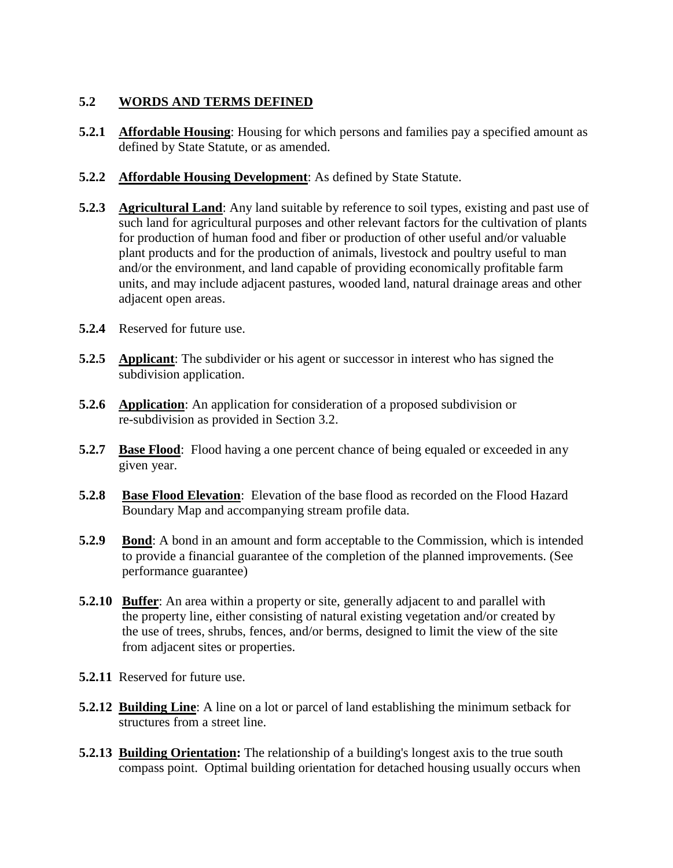## **5.2 WORDS AND TERMS DEFINED**

- **5.2.1 Affordable Housing**: Housing for which persons and families pay a specified amount as defined by State Statute, or as amended.
- **5.2.2 Affordable Housing Development:** As defined by State Statute.
- **5.2.3 Agricultural Land**: Any land suitable by reference to soil types, existing and past use of such land for agricultural purposes and other relevant factors for the cultivation of plants for production of human food and fiber or production of other useful and/or valuable plant products and for the production of animals, livestock and poultry useful to man and/or the environment, and land capable of providing economically profitable farm units, and may include adjacent pastures, wooded land, natural drainage areas and other adjacent open areas.
- **5.2.4** Reserved for future use.
- **5.2.5 Applicant**: The subdivider or his agent or successor in interest who has signed the subdivision application.
- **5.2.6 Application**: An application for consideration of a proposed subdivision or re-subdivision as provided in Section 3.2.
- **5.2.7 Base Flood**: Flood having a one percent chance of being equaled or exceeded in any given year.
- **5.2.8 Base Flood Elevation**: Elevation of the base flood as recorded on the Flood Hazard Boundary Map and accompanying stream profile data.
- **5.2.9** Bond: A bond in an amount and form acceptable to the Commission, which is intended to provide a financial guarantee of the completion of the planned improvements. (See performance guarantee)
- **5.2.10 Buffer**: An area within a property or site, generally adjacent to and parallel with the property line, either consisting of natural existing vegetation and/or created by the use of trees, shrubs, fences, and/or berms, designed to limit the view of the site from adjacent sites or properties.
- **5.2.11** Reserved for future use.
- **5.2.12 Building Line**: A line on a lot or parcel of land establishing the minimum setback for structures from a street line.
- **5.2.13 Building Orientation:** The relationship of a building's longest axis to the true south compass point. Optimal building orientation for detached housing usually occurs when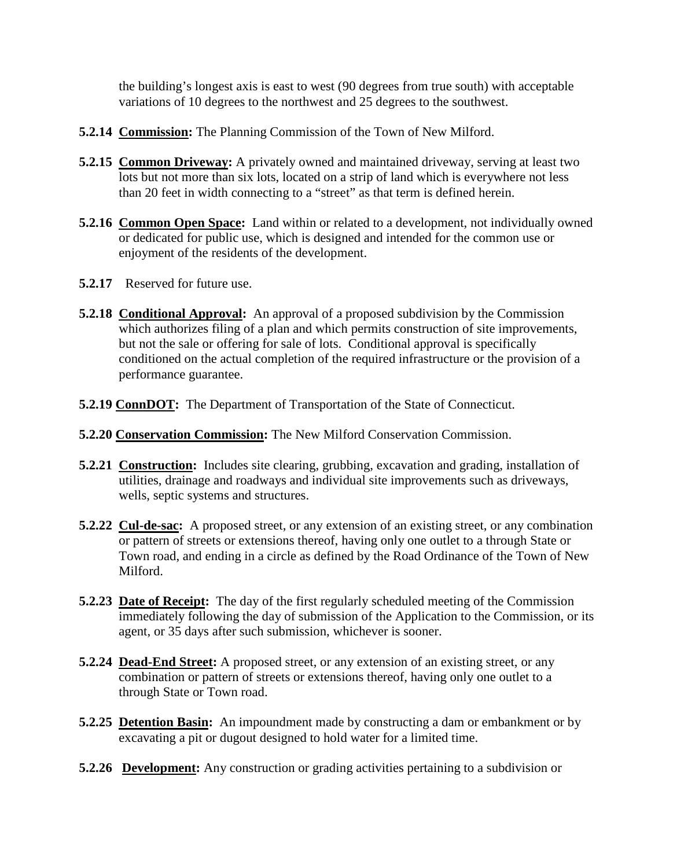the building's longest axis is east to west (90 degrees from true south) with acceptable variations of 10 degrees to the northwest and 25 degrees to the southwest.

- **5.2.14 Commission:** The Planning Commission of the Town of New Milford.
- **5.2.15 Common Driveway:** A privately owned and maintained driveway, serving at least two lots but not more than six lots, located on a strip of land which is everywhere not less than 20 feet in width connecting to a "street" as that term is defined herein.
- **5.2.16 Common Open Space:** Land within or related to a development, not individually owned or dedicated for public use, which is designed and intended for the common use or enjoyment of the residents of the development.
- **5.2.17** Reserved for future use.
- **5.2.18 Conditional Approval:** An approval of a proposed subdivision by the Commission which authorizes filing of a plan and which permits construction of site improvements, but not the sale or offering for sale of lots. Conditional approval is specifically conditioned on the actual completion of the required infrastructure or the provision of a performance guarantee.
- **5.2.19 ConnDOT:** The Department of Transportation of the State of Connecticut.
- **5.2.20 Conservation Commission:** The New Milford Conservation Commission.
- **5.2.21 Construction:** Includes site clearing, grubbing, excavation and grading, installation of utilities, drainage and roadways and individual site improvements such as driveways, wells, septic systems and structures.
- **5.2.22 Cul-de-sac:** A proposed street, or any extension of an existing street, or any combination or pattern of streets or extensions thereof, having only one outlet to a through State or Town road, and ending in a circle as defined by the Road Ordinance of the Town of New Milford.
- **5.2.23 Date of Receipt:** The day of the first regularly scheduled meeting of the Commission immediately following the day of submission of the Application to the Commission, or its agent, or 35 days after such submission, whichever is sooner.
- **5.2.24 Dead-End Street:** A proposed street, or any extension of an existing street, or any combination or pattern of streets or extensions thereof, having only one outlet to a through State or Town road.
- **5.2.25 Detention Basin:** An impoundment made by constructing a dam or embankment or by excavating a pit or dugout designed to hold water for a limited time.
- **5.2.26 Development:** Any construction or grading activities pertaining to a subdivision or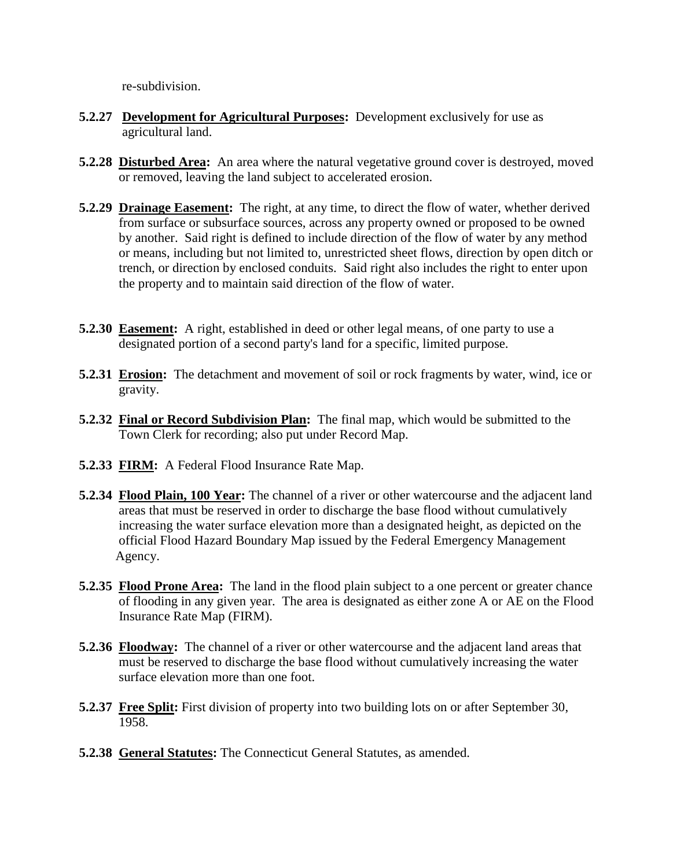re-subdivision.

- **5.2.27 Development for Agricultural Purposes:** Development exclusively for use as agricultural land.
- **5.2.28 Disturbed Area:** An area where the natural vegetative ground cover is destroyed, moved or removed, leaving the land subject to accelerated erosion.
- **5.2.29 Drainage Easement:** The right, at any time, to direct the flow of water, whether derived from surface or subsurface sources, across any property owned or proposed to be owned by another. Said right is defined to include direction of the flow of water by any method or means, including but not limited to, unrestricted sheet flows, direction by open ditch or trench, or direction by enclosed conduits. Said right also includes the right to enter upon the property and to maintain said direction of the flow of water.
- **5.2.30 Easement:** A right, established in deed or other legal means, of one party to use a designated portion of a second party's land for a specific, limited purpose.
- **5.2.31 Erosion:** The detachment and movement of soil or rock fragments by water, wind, ice or gravity.
- **5.2.32 Final or Record Subdivision Plan:** The final map, which would be submitted to the Town Clerk for recording; also put under Record Map.
- **5.2.33 FIRM:** A Federal Flood Insurance Rate Map.
- **5.2.34 Flood Plain, 100 Year:** The channel of a river or other watercourse and the adjacent land areas that must be reserved in order to discharge the base flood without cumulatively increasing the water surface elevation more than a designated height, as depicted on the official Flood Hazard Boundary Map issued by the Federal Emergency Management Agency.
- **5.2.35 Flood Prone Area:** The land in the flood plain subject to a one percent or greater chance of flooding in any given year. The area is designated as either zone A or AE on the Flood Insurance Rate Map (FIRM).
- **5.2.36 Floodway:** The channel of a river or other watercourse and the adjacent land areas that must be reserved to discharge the base flood without cumulatively increasing the water surface elevation more than one foot.
- **5.2.37 Free Split:** First division of property into two building lots on or after September 30, 1958.
- **5.2.38 General Statutes:** The Connecticut General Statutes, as amended.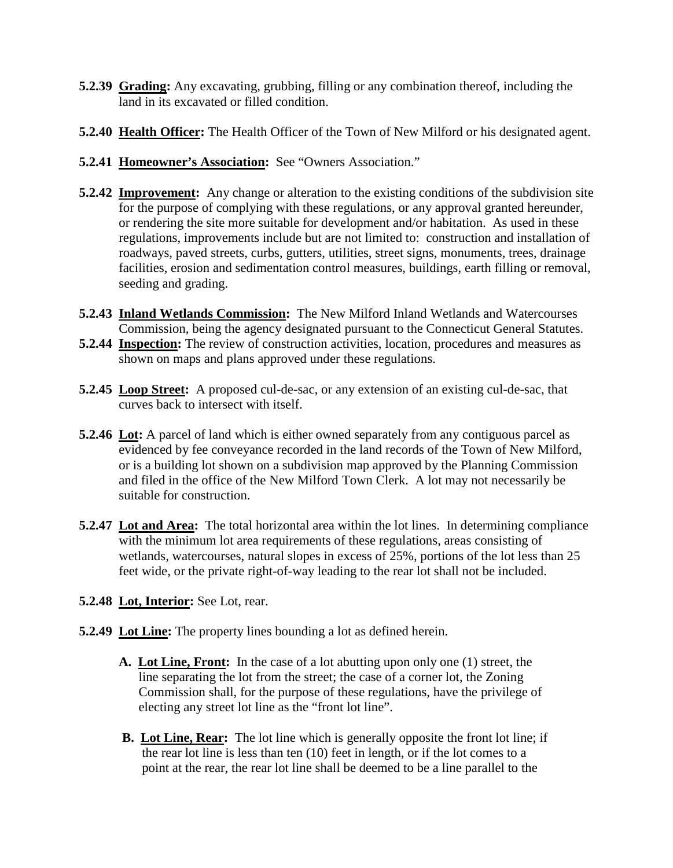- **5.2.39 Grading:** Any excavating, grubbing, filling or any combination thereof, including the land in its excavated or filled condition.
- **5.2.40 Health Officer:** The Health Officer of the Town of New Milford or his designated agent.
- **5.2.41 Homeowner's Association:** See "Owners Association."
- **5.2.42 Improvement:** Any change or alteration to the existing conditions of the subdivision site for the purpose of complying with these regulations, or any approval granted hereunder, or rendering the site more suitable for development and/or habitation. As used in these regulations, improvements include but are not limited to: construction and installation of roadways, paved streets, curbs, gutters, utilities, street signs, monuments, trees, drainage facilities, erosion and sedimentation control measures, buildings, earth filling or removal, seeding and grading.
- **5.2.43 Inland Wetlands Commission:** The New Milford Inland Wetlands and Watercourses Commission, being the agency designated pursuant to the Connecticut General Statutes.
- **5.2.44 Inspection:** The review of construction activities, location, procedures and measures as shown on maps and plans approved under these regulations.
- **5.2.45 Loop Street:** A proposed cul-de-sac, or any extension of an existing cul-de-sac, that curves back to intersect with itself.
- **5.2.46 Lot:** A parcel of land which is either owned separately from any contiguous parcel as evidenced by fee conveyance recorded in the land records of the Town of New Milford, or is a building lot shown on a subdivision map approved by the Planning Commission and filed in the office of the New Milford Town Clerk. A lot may not necessarily be suitable for construction.
- **5.2.47 Lot and Area:** The total horizontal area within the lot lines. In determining compliance with the minimum lot area requirements of these regulations, areas consisting of wetlands, watercourses, natural slopes in excess of 25%, portions of the lot less than 25 feet wide, or the private right-of-way leading to the rear lot shall not be included.
- **5.2.48 Lot, Interior:** See Lot, rear.
- **5.2.49 Lot Line:** The property lines bounding a lot as defined herein.
	- **A. Lot Line, Front:** In the case of a lot abutting upon only one (1) street, the line separating the lot from the street; the case of a corner lot, the Zoning Commission shall, for the purpose of these regulations, have the privilege of electing any street lot line as the "front lot line".
	- **B. Lot Line, Rear:** The lot line which is generally opposite the front lot line; if the rear lot line is less than ten  $(10)$  feet in length, or if the lot comes to a point at the rear, the rear lot line shall be deemed to be a line parallel to the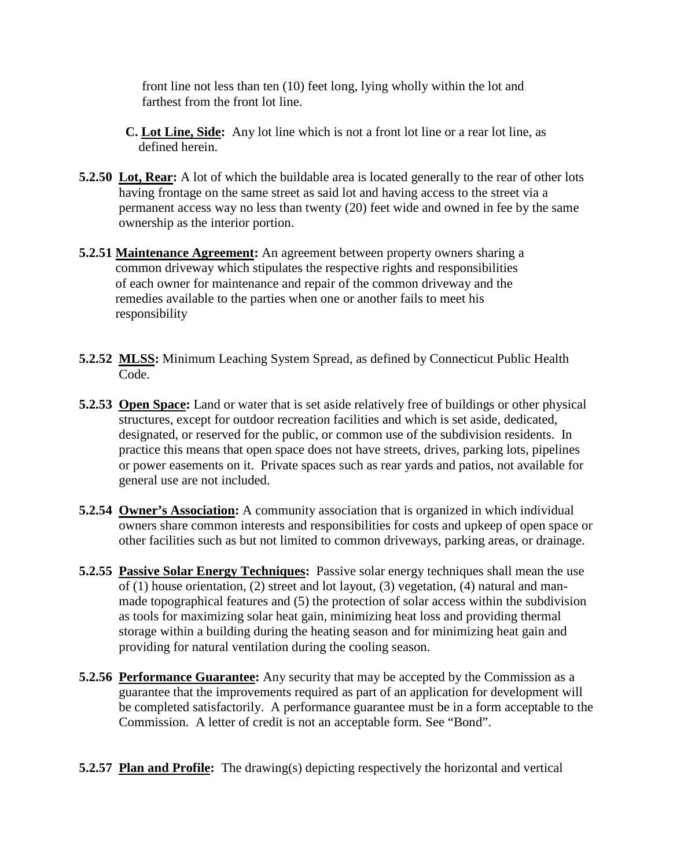front line not less than ten (10) feet long, lying wholly within the lot and farthest from the front lot line.

- **C. Lot Line, Side:** Any lot line which is not a front lot line or a rear lot line, as defined herein.
- **5.2.50 Lot, Rear:** A lot of which the buildable area is located generally to the rear of other lots having frontage on the same street as said lot and having access to the street via a permanent access way no less than twenty (20) feet wide and owned in fee by the same ownership as the interior portion.
- **5.2.51 Maintenance Agreement:** An agreement between property owners sharing a common driveway which stipulates the respective rights and responsibilities of each owner for maintenance and repair of the common driveway and the remedies available to the parties when one or another fails to meet his responsibility
- **5.2.52 MLSS:** Minimum Leaching System Spread, as defined by Connecticut Public Health Code.
- **5.2.53 Open Space:** Land or water that is set aside relatively free of buildings or other physical structures, except for outdoor recreation facilities and which is set aside, dedicated, designated, or reserved for the public, or common use of the subdivision residents. In practice this means that open space does not have streets, drives, parking lots, pipelines or power easements on it. Private spaces such as rear yards and patios, not available for general use are not included.
- **5.2.54 Owner's Association:** A community association that is organized in which individual owners share common interests and responsibilities for costs and upkeep of open space or other facilities such as but not limited to common driveways, parking areas, or drainage.
- **5.2.55 Passive Solar Energy Techniques:** Passive solar energy techniques shall mean the use of (1) house orientation, (2) street and lot layout, (3) vegetation, (4) natural and man made topographical features and (5) the protection of solar access within the subdivision as tools for maximizing solar heat gain, minimizing heat loss and providing thermal storage within a building during the heating season and for minimizing heat gain and providing for natural ventilation during the cooling season.
- **5.2.56 Performance Guarantee:** Any security that may be accepted by the Commission as a guarantee that the improvements required as part of an application for development will be completed satisfactorily. A performance guarantee must be in a form acceptable to the Commission. A letter of credit is not an acceptable form. See "Bond".
- **5.2.57 Plan and Profile:** The drawing(s) depicting respectively the horizontal and vertical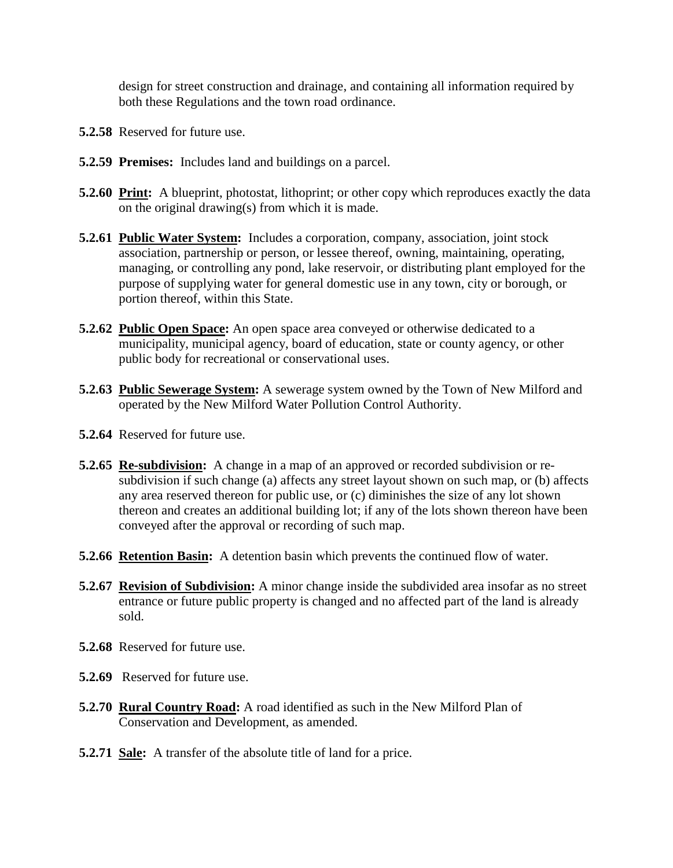design for street construction and drainage, and containing all information required by both these Regulations and the town road ordinance.

- **5.2.58** Reserved for future use.
- **5.2.59 Premises:** Includes land and buildings on a parcel.
- **5.2.60 Print:** A blueprint, photostat, lithoprint; or other copy which reproduces exactly the data on the original drawing(s) from which it is made.
- **5.2.61 Public Water System:** Includes a corporation, company, association, joint stock association, partnership or person, or lessee thereof, owning, maintaining, operating, managing, or controlling any pond, lake reservoir, or distributing plant employed for the purpose of supplying water for general domestic use in any town, city or borough, or portion thereof, within this State.
- **5.2.62 Public Open Space:** An open space area conveyed or otherwise dedicated to a municipality, municipal agency, board of education, state or county agency, or other public body for recreational or conservational uses.
- **5.2.63 Public Sewerage System:** A sewerage system owned by the Town of New Milford and operated by the New Milford Water Pollution Control Authority.
- **5.2.64** Reserved for future use.
- **5.2.65 Re-subdivision:** A change in a map of an approved or recorded subdivision or re subdivision if such change (a) affects any street layout shown on such map, or (b) affects any area reserved thereon for public use, or (c) diminishes the size of any lot shown thereon and creates an additional building lot; if any of the lots shown thereon have been conveyed after the approval or recording of such map.
- **5.2.66 Retention Basin:** A detention basin which prevents the continued flow of water.
- **5.2.67 Revision of Subdivision:** A minor change inside the subdivided area insofar as no street entrance or future public property is changed and no affected part of the land is already sold.
- **5.2.68** Reserved for future use.
- **5.2.69** Reserved for future use.
- **5.2.70 Rural Country Road:** A road identified as such in the New Milford Plan of Conservation and Development, as amended.
- **5.2.71 Sale:** A transfer of the absolute title of land for a price.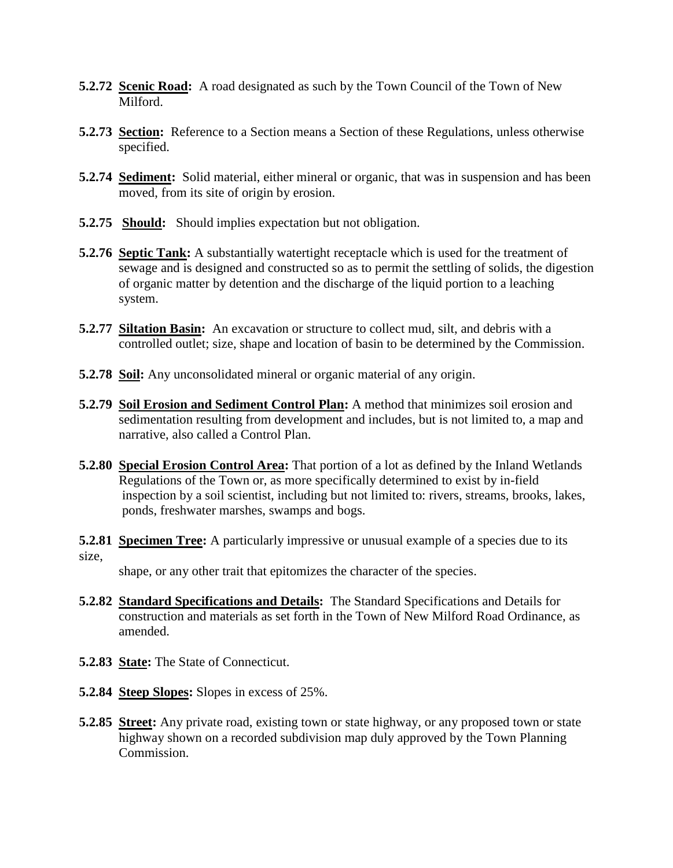- **5.2.72 Scenic Road:** A road designated as such by the Town Council of the Town of New Milford.
- **5.2.73 Section:** Reference to a Section means a Section of these Regulations, unless otherwise specified.
- **5.2.74 Sediment:** Solid material, either mineral or organic, that was in suspension and has been moved, from its site of origin by erosion.
- **5.2.75 Should:** Should implies expectation but not obligation.
- **5.2.76 Septic Tank:** A substantially watertight receptacle which is used for the treatment of sewage and is designed and constructed so as to permit the settling of solids, the digestion of organic matter by detention and the discharge of the liquid portion to a leaching system.
- **5.2.77 Siltation Basin:** An excavation or structure to collect mud, silt, and debris with a controlled outlet; size, shape and location of basin to be determined by the Commission.
- **5.2.78 Soil:** Any unconsolidated mineral or organic material of any origin.
- **5.2.79 Soil Erosion and Sediment Control Plan:** A method that minimizes soil erosion and sedimentation resulting from development and includes, but is not limited to, a map and narrative, also called a Control Plan.
- **5.2.80 Special Erosion Control Area:** That portion of a lot as defined by the Inland Wetlands Regulations of the Town or, as more specifically determined to exist by in-field inspection by a soil scientist, including but not limited to: rivers, streams, brooks, lakes, ponds, freshwater marshes, swamps and bogs.
- **5.2.81 Specimen Tree:** A particularly impressive or unusual example of a species due to its size,

shape, or any other trait that epitomizes the character of the species.

- **5.2.82 Standard Specifications and Details:** The Standard Specifications and Details for construction and materials as set forth in the Town of New Milford Road Ordinance, as amended.
- **5.2.83 State:** The State of Connecticut.
- **5.2.84 Steep Slopes:** Slopes in excess of 25%.
- **5.2.85 Street:** Any private road, existing town or state highway, or any proposed town or state highway shown on a recorded subdivision map duly approved by the Town Planning Commission.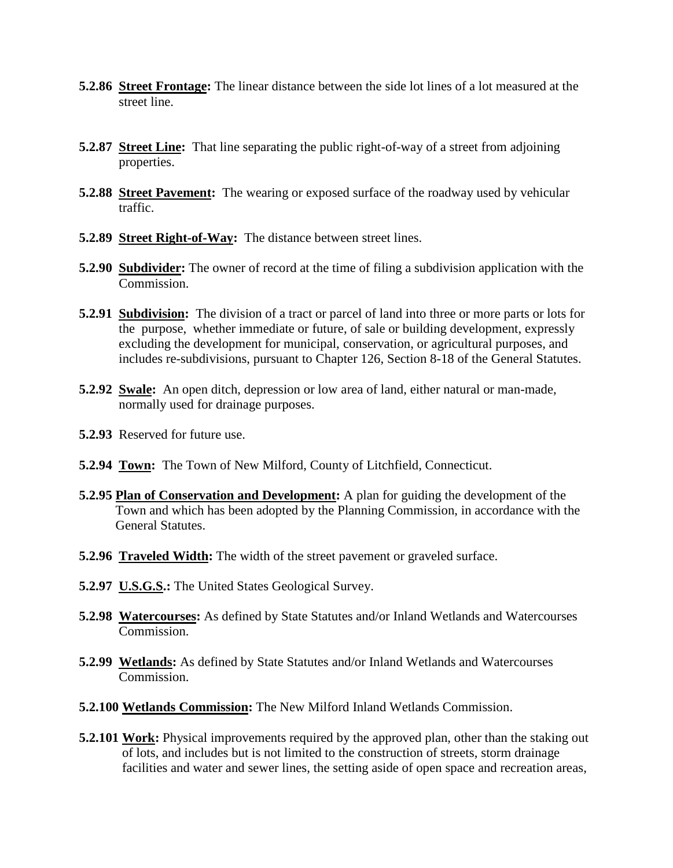- **5.2.86 Street Frontage:** The linear distance between the side lot lines of a lot measured at the street line.
- **5.2.87 Street Line:** That line separating the public right-of-way of a street from adjoining properties.
- **5.2.88 Street Pavement:** The wearing or exposed surface of the roadway used by vehicular traffic.
- **5.2.89 Street Right-of-Way:** The distance between street lines.
- **5.2.90 Subdivider:** The owner of record at the time of filing a subdivision application with the Commission.
- **5.2.91 Subdivision:** The division of a tract or parcel of land into three or more parts or lots for the purpose, whether immediate or future, of sale or building development, expressly excluding the development for municipal, conservation, or agricultural purposes, and includes re-subdivisions, pursuant to Chapter 126, Section 8-18 of the General Statutes.
- **5.2.92 Swale:** An open ditch, depression or low area of land, either natural or man-made, normally used for drainage purposes.
- **5.2.93** Reserved for future use.
- **5.2.94 Town:** The Town of New Milford, County of Litchfield, Connecticut.
- **5.2.95 Plan of Conservation and Development:** A plan for guiding the development of the Town and which has been adopted by the Planning Commission, in accordance with the General Statutes.
- **5.2.96 Traveled Width:** The width of the street pavement or graveled surface.
- **5.2.97 U.S.G.S.:** The United States Geological Survey.
- **5.2.98 Watercourses:** As defined by State Statutes and/or Inland Wetlands and Watercourses Commission.
- **5.2.99 Wetlands:** As defined by State Statutes and/or Inland Wetlands and Watercourses Commission.
- **5.2.100 Wetlands Commission:** The New Milford Inland Wetlands Commission.
- **5.2.101 Work:** Physical improvements required by the approved plan, other than the staking out of lots, and includes but is not limited to the construction of streets, storm drainage facilities and water and sewer lines, the setting aside of open space and recreation areas,